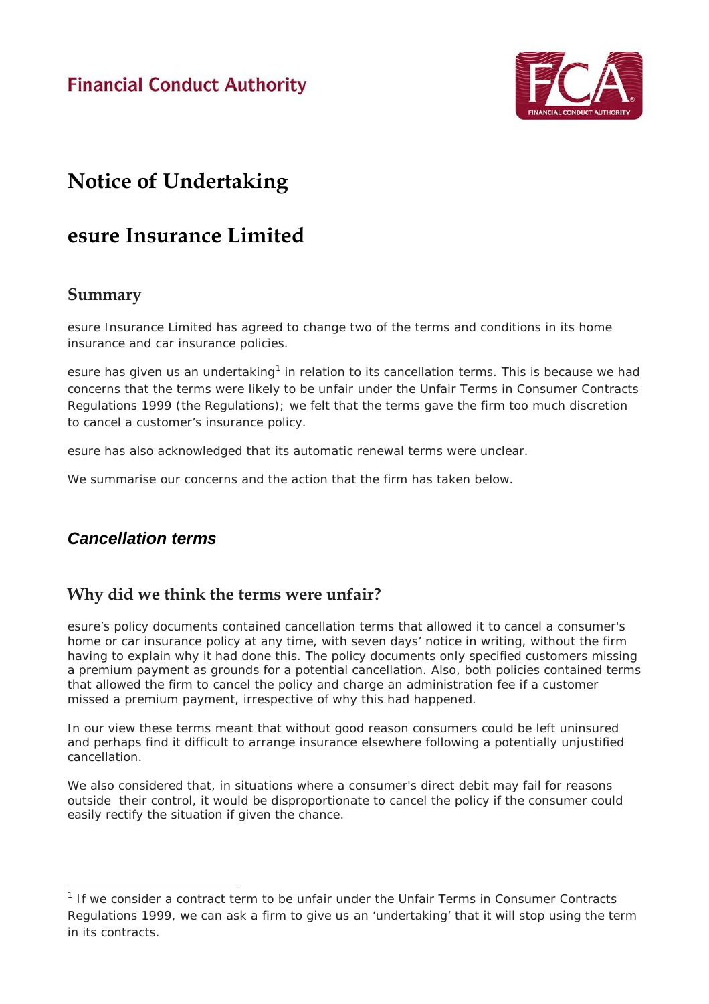**Financial Conduct Authority** 



# **Notice of Undertaking**

# **esure Insurance Limited**

### **Summary**

esure Insurance Limited has agreed to change two of the terms and conditions in its home insurance and car insurance policies.

esure has given us an undertaking<sup>[1](#page-0-0)</sup> in relation to its cancellation terms. This is because we had concerns that the terms were likely to be unfair under the Unfair Terms in Consumer Contracts Regulations 1999 (the Regulations); we felt that the terms gave the firm too much discretion to cancel a customer's insurance policy.

esure has also acknowledged that its automatic renewal terms were unclear.

We summarise our concerns and the action that the firm has taken below.

# *Cancellation terms*

# **Why did we think the terms were unfair?**

esure's policy documents contained cancellation terms that allowed it to cancel a consumer's home or car insurance policy at any time, with seven days' notice in writing, without the firm having to explain why it had done this. The policy documents only specified customers missing a premium payment as grounds for a potential cancellation. Also, both policies contained terms that allowed the firm to cancel the policy and charge an administration fee if a customer missed a premium payment, irrespective of why this had happened.

In our view these terms meant that without good reason consumers could be left uninsured and perhaps find it difficult to arrange insurance elsewhere following a potentially unjustified cancellation.

We also considered that, in situations where a consumer's direct debit may fail for reasons outside their control, it would be disproportionate to cancel the policy if the consumer could easily rectify the situation if given the chance.

<span id="page-0-0"></span> $<sup>1</sup>$  If we consider a contract term to be unfair under the Unfair Terms in Consumer Contracts</sup> Regulations 1999, we can ask a firm to give us an 'undertaking' that it will stop using the term in its contracts.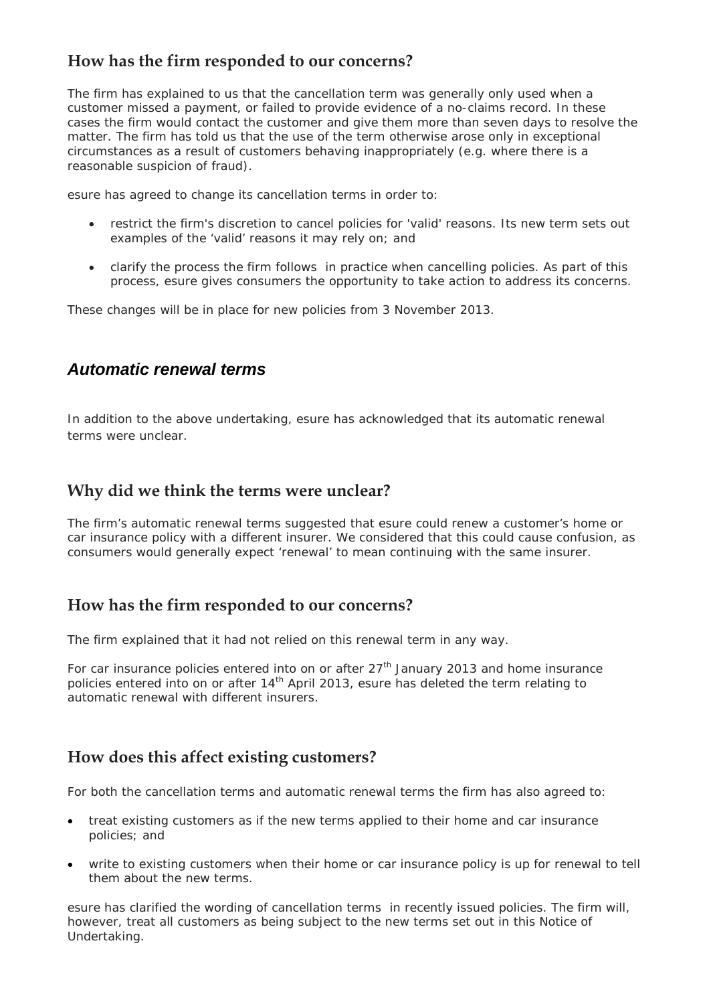# **How has the firm responded to our concerns?**

The firm has explained to us that the cancellation term was generally only used when a customer missed a payment, or failed to provide evidence of a no-claims record. In these cases the firm would contact the customer and give them more than seven days to resolve the matter. The firm has told us that the use of the term otherwise arose only in exceptional circumstances as a result of customers behaving inappropriately (e.g. where there is a reasonable suspicion of fraud).

esure has agreed to change its cancellation terms in order to:

- restrict the firm's discretion to cancel policies for 'valid' reasons. Its new term sets out examples of the 'valid' reasons it may rely on; and
- clarify the process the firm follows in practice when cancelling policies. As part of this process, esure gives consumers the opportunity to take action to address its concerns.

These changes will be in place for new policies from 3 November 2013.

### *Automatic renewal terms*

In addition to the above undertaking, esure has acknowledged that its automatic renewal terms were unclear.

# **Why did we think the terms were unclear?**

The firm's automatic renewal terms suggested that esure could renew a customer's home or car insurance policy with a different insurer. We considered that this could cause confusion, as consumers would generally expect 'renewal' to mean continuing with the same insurer.

## **How has the firm responded to our concerns?**

The firm explained that it had not relied on this renewal term in any way.

For car insurance policies entered into on or after  $27<sup>th</sup>$  January 2013 and home insurance policies entered into on or after  $14<sup>th</sup>$  April 2013, esure has deleted the term relating to automatic renewal with different insurers.

## **How does this affect existing customers?**

For both the cancellation terms and automatic renewal terms the firm has also agreed to:

- treat existing customers as if the new terms applied to their home and car insurance policies; and
- write to existing customers when their home or car insurance policy is up for renewal to tell them about the new terms.

esure has clarified the wording of cancellation terms in recently issued policies. The firm will, however, treat all customers as being subject to the new terms set out in this Notice of Undertaking.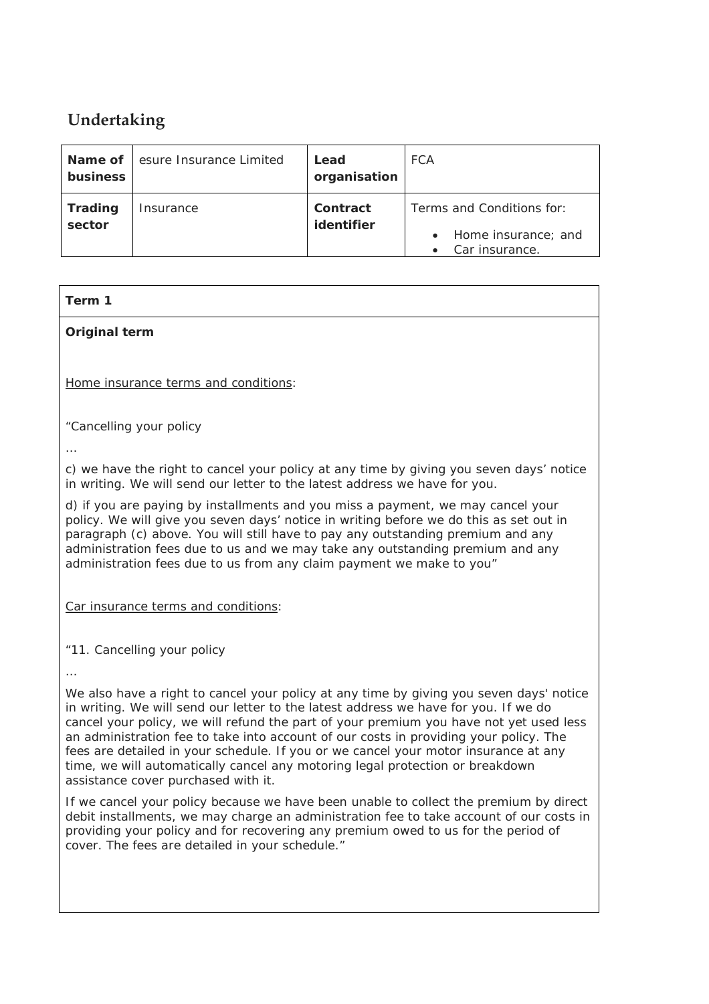# **Undertaking**

| Name of<br>business | esure Insurance Limited | Lead<br>organisation   | <b>FCA</b>                                                         |
|---------------------|-------------------------|------------------------|--------------------------------------------------------------------|
| Trading<br>sector   | Insurance               | Contract<br>identifier | Terms and Conditions for:<br>Home insurance; and<br>Car insurance. |

### **Term 1**

**Original term**

Home insurance terms and conditions:

*"Cancelling your policy*

*…*

*c) we have the right to cancel your policy at any time by giving you seven days' notice in writing. We will send our letter to the latest address we have for you.*

*d) if you are paying by installments and you miss a payment, we may cancel your policy. We will give you seven days' notice in writing before we do this as set out in paragraph (c) above. You will still have to pay any outstanding premium and any administration fees due to us and we may take any outstanding premium and any administration fees due to us from any claim payment we make to you"*

Car insurance terms and conditions:

*"11. Cancelling your policy*

*…*

*We also have a right to cancel your policy at any time by giving you seven days' notice in writing. We will send our letter to the latest address we have for you. If we do cancel your policy, we will refund the part of your premium you have not yet used less an administration fee to take into account of our costs in providing your policy. The fees are detailed in your schedule. If you or we cancel your motor insurance at any time, we will automatically cancel any motoring legal protection or breakdown assistance cover purchased with it.*

*If we cancel your policy because we have been unable to collect the premium by direct debit installments, we may charge an administration fee to take account of our costs in providing your policy and for recovering any premium owed to us for the period of cover. The fees are detailed in your schedule."*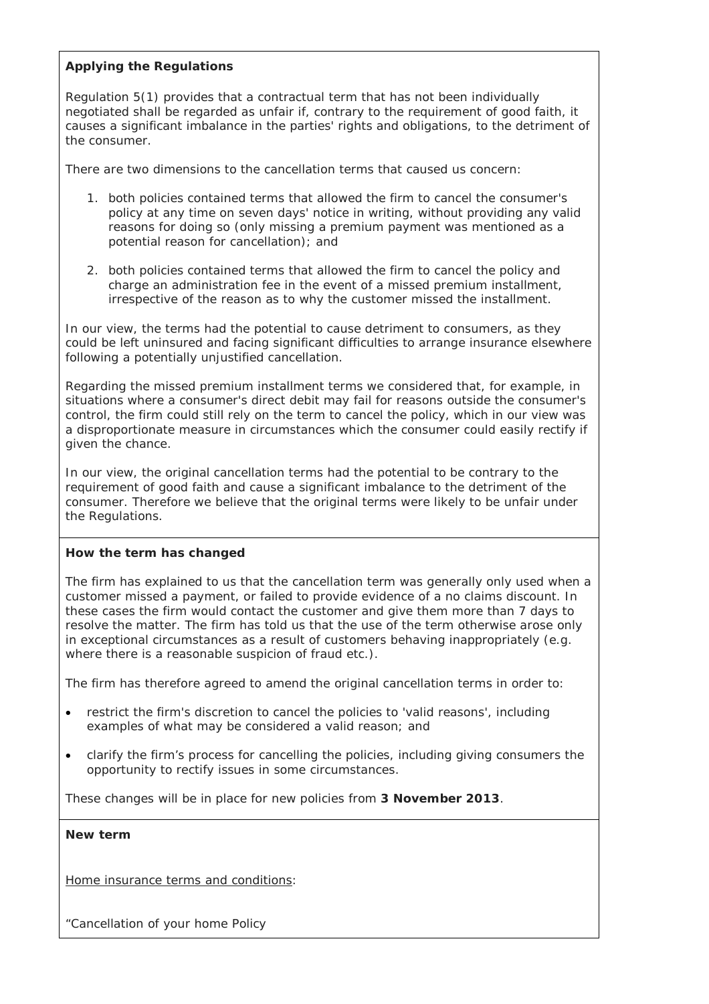### **Applying the Regulations**

Regulation 5(1) provides that a contractual term that has not been individually negotiated shall be regarded as unfair if, contrary to the requirement of good faith, it causes a significant imbalance in the parties' rights and obligations, to the detriment of the consumer.

There are two dimensions to the cancellation terms that caused us concern:

- 1. both policies contained terms that allowed the firm to cancel the consumer's policy at any time on seven days' notice in writing, without providing any valid reasons for doing so (only missing a premium payment was mentioned as a potential reason for cancellation); and
- 2. both policies contained terms that allowed the firm to cancel the policy and charge an administration fee in the event of a missed premium installment, irrespective of the reason as to why the customer missed the installment.

In our view, the terms had the potential to cause detriment to consumers, as they could be left uninsured and facing significant difficulties to arrange insurance elsewhere following a potentially unjustified cancellation.

Regarding the missed premium installment terms we considered that, for example, in situations where a consumer's direct debit may fail for reasons outside the consumer's control, the firm could still rely on the term to cancel the policy, which in our view was a disproportionate measure in circumstances which the consumer could easily rectify if given the chance.

In our view, the original cancellation terms had the potential to be contrary to the requirement of good faith and cause a significant imbalance to the detriment of the consumer. Therefore we believe that the original terms were likely to be unfair under the Regulations.

### **How the term has changed**

The firm has explained to us that the cancellation term was generally only used when a customer missed a payment, or failed to provide evidence of a no claims discount. In these cases the firm would contact the customer and give them more than 7 days to resolve the matter. The firm has told us that the use of the term otherwise arose only in exceptional circumstances as a result of customers behaving inappropriately (e.g. where there is a reasonable suspicion of fraud etc.).

The firm has therefore agreed to amend the original cancellation terms in order to:

- restrict the firm's discretion to cancel the policies to 'valid reasons', including examples of what may be considered a valid reason; and
- clarify the firm's process for cancelling the policies, including giving consumers the opportunity to rectify issues in some circumstances.

These changes will be in place for new policies from **3 November 2013**.

### **New term**

Home insurance terms and conditions:

*"Cancellation of your home Policy*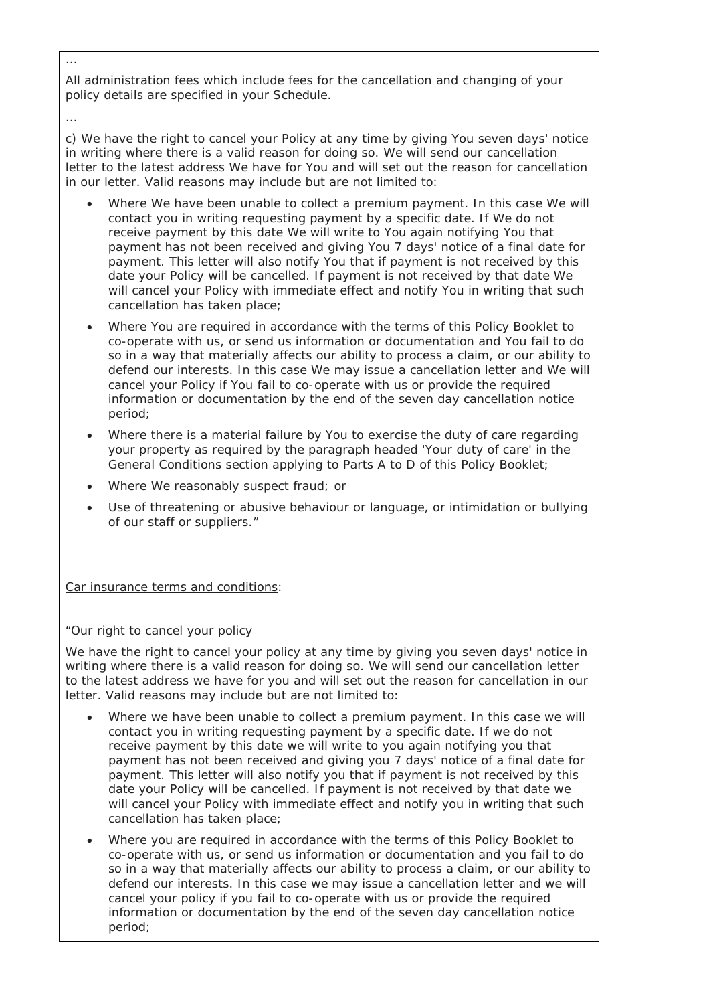*All administration fees which include fees for the cancellation and changing of your policy details are specified in your Schedule.*

*c) We have the right to cancel your Policy at any time by giving You seven days' notice in writing where there is a valid reason for doing so. We will send our cancellation letter to the latest address We have for You and will set out the reason for cancellation in our letter. Valid reasons may include but are not limited to:* 

- *Where We have been unable to collect a premium payment. In this case We will contact you in writing requesting payment by a specific date. If We do not receive payment by this date We will write to You again notifying You that payment has not been received and giving You 7 days' notice of a final date for payment. This letter will also notify You that if payment is not received by this date your Policy will be cancelled. If payment is not received by that date We will cancel your Policy with immediate effect and notify You in writing that such cancellation has taken place;*
- *Where You are required in accordance with the terms of this Policy Booklet to co-operate with us, or send us information or documentation and You fail to do so in a way that materially affects our ability to process a claim, or our ability to defend our interests. In this case We may issue a cancellation letter and We will cancel your Policy if You fail to co-operate with us or provide the required information or documentation by the end of the seven day cancellation notice period;*
- *Where there is a material failure by You to exercise the duty of care regarding your property as required by the paragraph headed 'Your duty of care' in the General Conditions section applying to Parts A to D of this Policy Booklet;*
- *Where We reasonably suspect fraud; or*
- *Use of threatening or abusive behaviour or language, or intimidation or bullying of our staff or suppliers."*

Car insurance terms and conditions:

*"Our right to cancel your policy*

*We have the right to cancel your policy at any time by giving you seven days' notice in writing where there is a valid reason for doing so. We will send our cancellation letter to the latest address we have for you and will set out the reason for cancellation in our letter. Valid reasons may include but are not limited to:* 

- Where we have been unable to collect a premium payment. In this case we will *contact you in writing requesting payment by a specific date. If we do not receive payment by this date we will write to you again notifying you that payment has not been received and giving you 7 days' notice of a final date for payment. This letter will also notify you that if payment is not received by this date your Policy will be cancelled. If payment is not received by that date we will cancel your Policy with immediate effect and notify you in writing that such cancellation has taken place;*
- *Where you are required in accordance with the terms of this Policy Booklet to co-operate with us, or send us information or documentation and you fail to do so in a way that materially affects our ability to process a claim, or our ability to defend our interests. In this case we may issue a cancellation letter and we will cancel your policy if you fail to co-operate with us or provide the required information or documentation by the end of the seven day cancellation notice period;*

*…*

*…*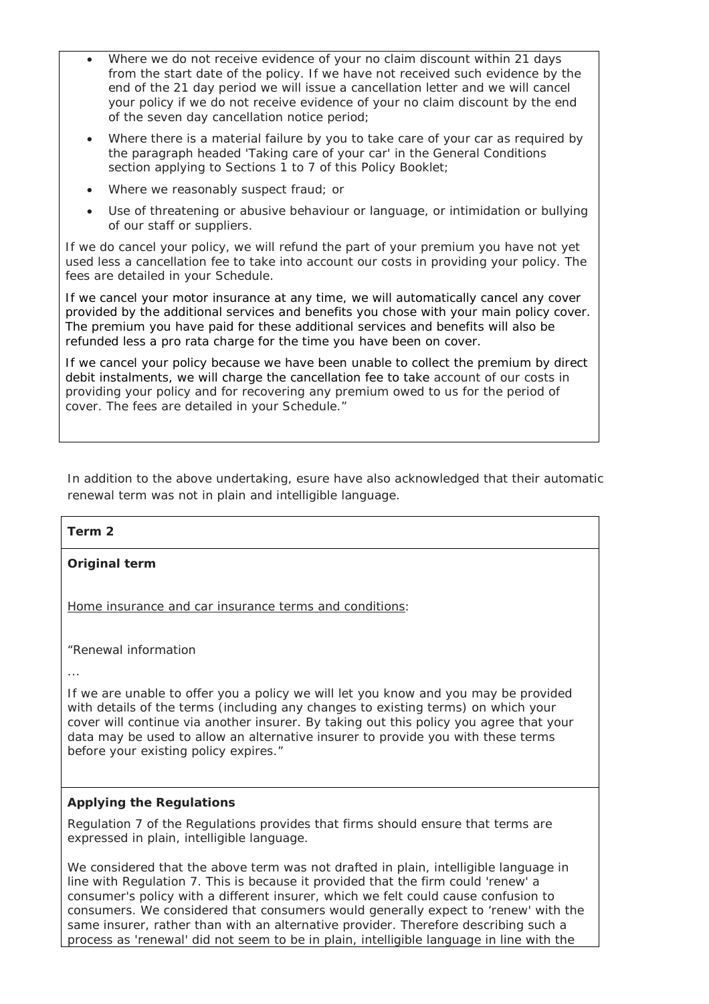- *Where we do not receive evidence of your no claim discount within 21 days from the start date of the policy. If we have not received such evidence by the*  end of the 21 day period we will issue a cancellation letter and we will cancel *your policy if we do not receive evidence of your no claim discount by the end of the seven day cancellation notice period;*
- *Where there is a material failure by you to take care of your car as required by the paragraph headed 'Taking care of your car' in the General Conditions section applying to Sections 1 to 7 of this Policy Booklet;*
- *Where we reasonably suspect fraud; or*
- *Use of threatening or abusive behaviour or language, or intimidation or bullying of our staff or suppliers.*

*If we do cancel your policy, we will refund the part of your premium you have not yet used less a cancellation fee to take into account our costs in providing your policy. The fees are detailed in your Schedule.*

*If we cancel your motor insurance at any time, we will automatically cancel any cover provided by the additional services and benefits you chose with your main policy cover. The premium you have paid for these additional services and benefits will also be refunded less a pro rata charge for the time you have been on cover.*

*If we cancel your policy because we have been unable to collect the premium by direct debit instalments, we will charge the cancellation fee to take account of our costs in providing your policy and for recovering any premium owed to us for the period of cover. The fees are detailed in your Schedule."*

In addition to the above undertaking, esure have also acknowledged that their automatic renewal term was not in plain and intelligible language.

### **Term 2**

**Original term**

Home insurance and car insurance terms and conditions:

*"Renewal information*

*...*

*If we are unable to offer you a policy we will let you know and you may be provided with details of the terms (including any changes to existing terms) on which your cover will continue via another insurer. By taking out this policy you agree that your data may be used to allow an alternative insurer to provide you with these terms before your existing policy expires."*

### **Applying the Regulations**

Regulation 7 of the Regulations provides that firms should ensure that terms are expressed in plain, intelligible language.

We considered that the above term was not drafted in plain, intelligible language in line with Regulation 7. This is because it provided that the firm could 'renew' a consumer's policy with a different insurer, which we felt could cause confusion to consumers. We considered that consumers would generally expect to 'renew' with the same insurer, rather than with an alternative provider. Therefore describing such a process as 'renewal' did not seem to be in plain, intelligible language in line with the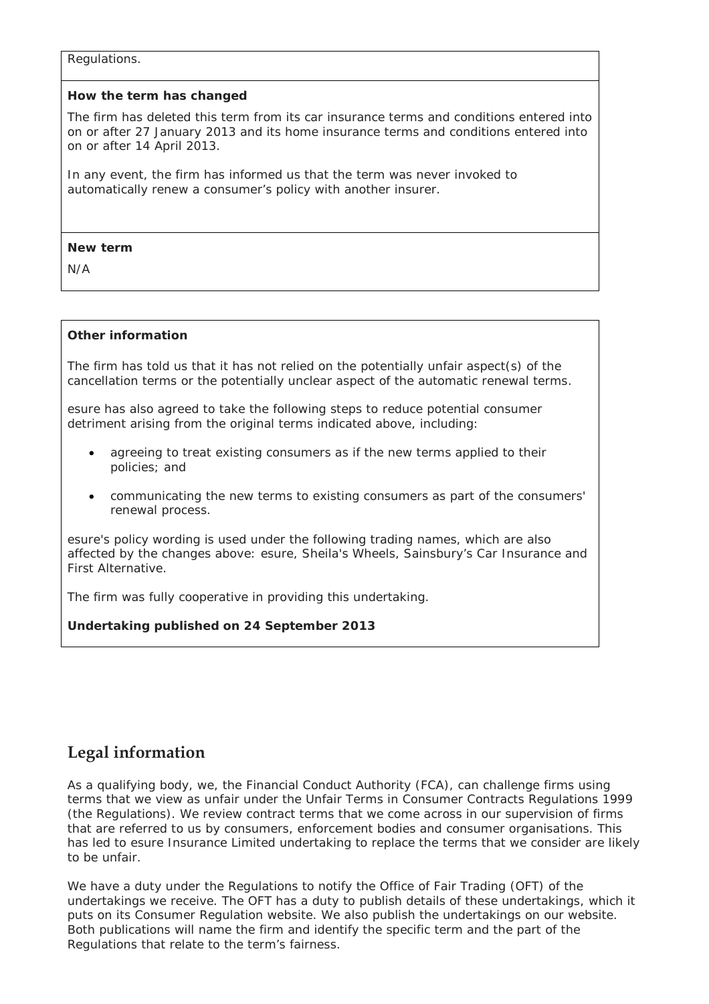#### Regulations.

### **How the term has changed**

The firm has deleted this term from its car insurance terms and conditions entered into on or after 27 January 2013 and its home insurance terms and conditions entered into on or after 14 April 2013.

In any event, the firm has informed us that the term was never invoked to automatically renew a consumer's policy with another insurer.

#### **New term**

N/A

### **Other information**

The firm has told us that it has not relied on the potentially unfair aspect(s) of the cancellation terms or the potentially unclear aspect of the automatic renewal terms.

esure has also agreed to take the following steps to reduce potential consumer detriment arising from the original terms indicated above, including:

- agreeing to treat existing consumers as if the new terms applied to their policies; and
- communicating the new terms to existing consumers as part of the consumers' renewal process.

esure's policy wording is used under the following trading names, which are also affected by the changes above: esure, Sheila's Wheels, Sainsbury's Car Insurance and First Alternative.

The firm was fully cooperative in providing this undertaking.

**Undertaking published on 24 September 2013**

## **Legal information**

As a qualifying body, we, the Financial Conduct Authority (FCA), can challenge firms using terms that we view as unfair under the Unfair Terms in Consumer Contracts Regulations 1999 (the Regulations). We review contract terms that we come across in our supervision of firms that are referred to us by consumers, enforcement bodies and consumer organisations. This has led to esure Insurance Limited undertaking to replace the terms that we consider are likely to be unfair.

We have a duty under the Regulations to notify the Office of Fair Trading (OFT) of the undertakings we receive. The OFT has a duty to publish details of these undertakings, which it puts on its Consumer Regulation website. We also publish the undertakings on our website. Both publications will name the firm and identify the specific term and the part of the Regulations that relate to the term's fairness.